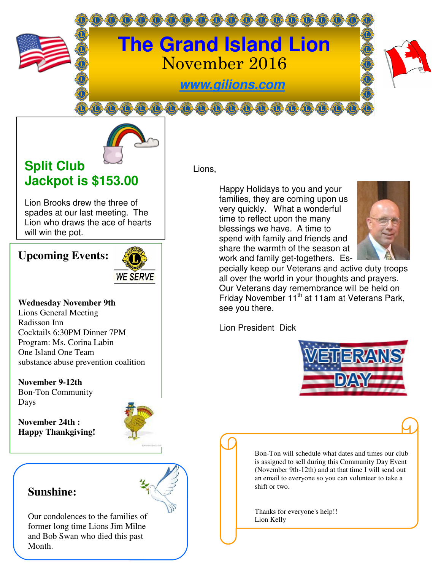

# **The Grand Island Lion**  November 2016

**www.gilions.com**



## **Split Club Jackpot is \$153.00**

Lion Brooks drew the three of spades at our last meeting. The Lion who draws the ace of hearts will win the pot.

### **Upcoming Events:**



#### **Wednesday November 9th**

Lions General Meeting Radisson Inn Cocktails 6:30PM Dinner 7PM Program: Ms. Corina Labin One Island One Team substance abuse prevention coalition

**November 9-12th**  Bon-Ton Community Days

**November 24th : Happy Thankgiving!** 



### **Sunshine:**

Our condolences to the families of former long time Lions Jim Milne and Bob Swan who died this past Month.

Lions,

Happy Holidays to you and your families, they are coming upon us very quickly. What a wonderful time to reflect upon the many blessings we have. A time to spend with family and friends and share the warmth of the season at work and family get-togethers. Es-



pecially keep our Veterans and active duty troops all over the world in your thoughts and prayers. Our Veterans day remembrance will be held on Friday November 11<sup>th</sup> at 11am at Veterans Park, see you there.

Lion President Dick



Bon-Ton will schedule what dates and times our club is assigned to sell during this Community Day Event (November 9th-12th) and at that time I will send out an email to everyone so you can volunteer to take a shift or two.

Thanks for everyone's help!! Lion Kelly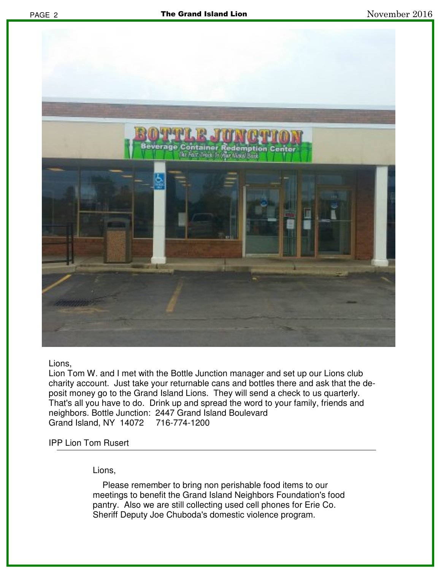

Lions,

Lion Tom W. and I met with the Bottle Junction manager and set up our Lions club charity account. Just take your returnable cans and bottles there and ask that the deposit money go to the Grand Island Lions. They will send a check to us quarterly. That's all you have to do. Drink up and spread the word to your family, friends and neighbors. Bottle Junction: 2447 Grand Island Boulevard Grand Island, NY 14072 716-774-1200

#### IPP Lion Tom Rusert

Lions,

 Please remember to bring non perishable food items to our meetings to benefit the Grand Island Neighbors Foundation's food pantry. Also we are still collecting used cell phones for Erie Co. Sheriff Deputy Joe Chuboda's domestic violence program.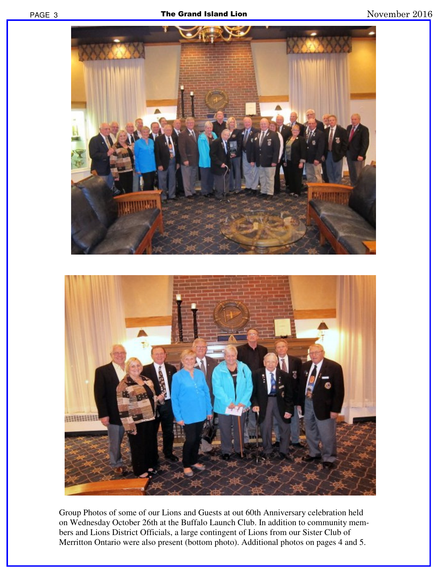

Group Photos of some of our Lions and Guests at out 60th Anniversary celebration held on Wednesday October 26th at the Buffalo Launch Club. In addition to community members and Lions District Officials, a large contingent of Lions from our Sister Club of Merritton Ontario were also present (bottom photo). Additional photos on pages 4 and 5.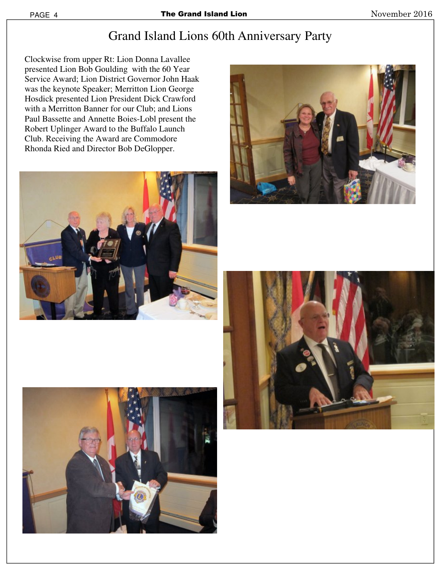# Grand Island Lions 60th Anniversary Party

Clockwise from upper Rt: Lion Donna Lavallee presented Lion Bob Goulding with the 60 Year Service Award; Lion District Governor John Haak was the keynote Speaker; Merritton Lion George Hosdick presented Lion President Dick Crawford with a Merritton Banner for our Club; and Lions Paul Bassette and Annette Boies-Lobl present the Robert Uplinger Award to the Buffalo Launch Club. Receiving the Award are Commodore Rhonda Ried and Director Bob DeGlopper.